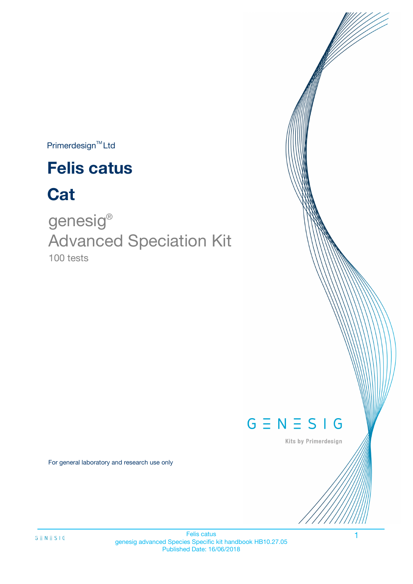$Primerdesign^{\text{TM}}$ Ltd

# **Felis catus**

# **Cat**

100 tests genesig ® Advanced Speciation Kit



Kits by Primerdesign

For general laboratory and research use only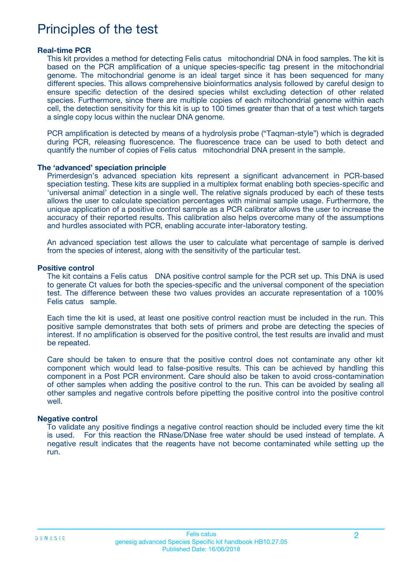## Principles of the test

#### **Real-time PCR**

This kit provides a method for detecting Felis catus mitochondrial DNA in food samples. The kit is based on the PCR amplification of a unique species-specific tag present in the mitochondrial genome. The mitochondrial genome is an ideal target since it has been sequenced for many different species. This allows comprehensive bioinformatics analysis followed by careful design to ensure specific detection of the desired species whilst excluding detection of other related species. Furthermore, since there are multiple copies of each mitochondrial genome within each cell, the detection sensitivity for this kit is up to 100 times greater than that of a test which targets a single copy locus within the nuclear DNA genome.

PCR amplification is detected by means of a hydrolysis probe ("Taqman-style") which is degraded during PCR, releasing fluorescence. The fluorescence trace can be used to both detect and quantify the number of copies of Felis catus mitochondrial DNA present in the sample.

#### **The 'advanced' speciation principle**

Primerdesign's advanced speciation kits represent a significant advancement in PCR-based speciation testing. These kits are supplied in a multiplex format enabling both species-specific and 'universal animal' detection in a single well. The relative signals produced by each of these tests allows the user to calculate speciation percentages with minimal sample usage. Furthermore, the unique application of a positive control sample as a PCR calibrator allows the user to increase the accuracy of their reported results. This calibration also helps overcome many of the assumptions and hurdles associated with PCR, enabling accurate inter-laboratory testing.

An advanced speciation test allows the user to calculate what percentage of sample is derived from the species of interest, along with the sensitivity of the particular test.

#### **Positive control**

The kit contains a Felis catus DNA positive control sample for the PCR set up. This DNA is used to generate Ct values for both the species-specific and the universal component of the speciation test. The difference between these two values provides an accurate representation of a 100% Felis catus sample.

Each time the kit is used, at least one positive control reaction must be included in the run. This positive sample demonstrates that both sets of primers and probe are detecting the species of interest. If no amplification is observed for the positive control, the test results are invalid and must be repeated.

Care should be taken to ensure that the positive control does not contaminate any other kit component which would lead to false-positive results. This can be achieved by handling this component in a Post PCR environment. Care should also be taken to avoid cross-contamination of other samples when adding the positive control to the run. This can be avoided by sealing all other samples and negative controls before pipetting the positive control into the positive control well.

#### **Negative control**

To validate any positive findings a negative control reaction should be included every time the kit is used. For this reaction the RNase/DNase free water should be used instead of template. A negative result indicates that the reagents have not become contaminated while setting up the run.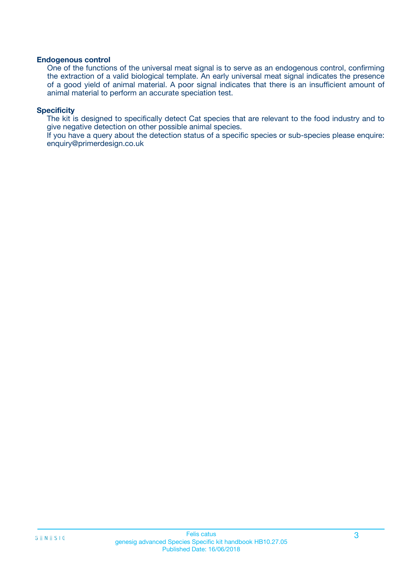#### **Endogenous control**

One of the functions of the universal meat signal is to serve as an endogenous control, confirming the extraction of a valid biological template. An early universal meat signal indicates the presence of a good yield of animal material. A poor signal indicates that there is an insufficient amount of animal material to perform an accurate speciation test.

#### **Specificity**

The kit is designed to specifically detect Cat species that are relevant to the food industry and to give negative detection on other possible animal species.

If you have a query about the detection status of a specific species or sub-species please enquire: enquiry@primerdesign.co.uk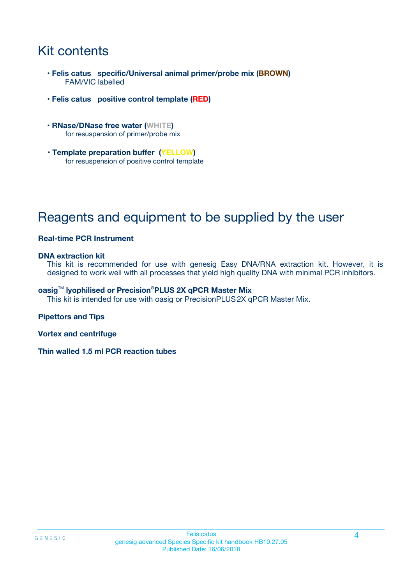## Kit contents

- **Felis catus specific/Universal animal primer/probe mix (BROWN)** FAM/VIC labelled
- **Felis catus positive control template (RED)**
- **RNase/DNase free water (WHITE)** for resuspension of primer/probe mix
- **Template preparation buffer (YELLOW)** for resuspension of positive control template

## Reagents and equipment to be supplied by the user

#### **Real-time PCR Instrument**

#### **DNA extraction kit**

This kit is recommended for use with genesig Easy DNA/RNA extraction kit. However, it is designed to work well with all processes that yield high quality DNA with minimal PCR inhibitors.

#### **oasig**TM **lyophilised or Precision®PLUS 2X qPCR Master Mix**

This kit is intended for use with oasig or PrecisionPLUS2X qPCR Master Mix.

#### **Pipettors and Tips**

**Vortex and centrifuge**

**Thin walled 1.5 ml PCR reaction tubes**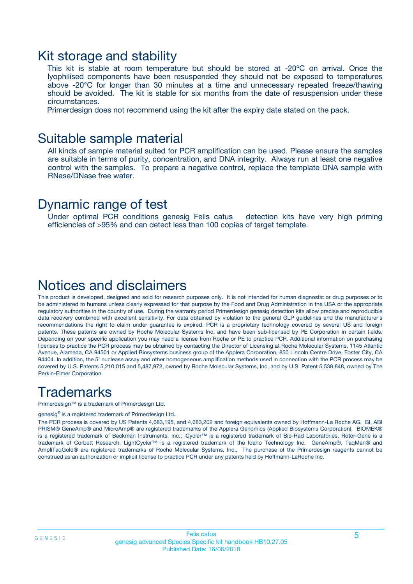### Kit storage and stability

This kit is stable at room temperature but should be stored at -20ºC on arrival. Once the lyophilised components have been resuspended they should not be exposed to temperatures above -20°C for longer than 30 minutes at a time and unnecessary repeated freeze/thawing should be avoided. The kit is stable for six months from the date of resuspension under these circumstances.

Primerdesign does not recommend using the kit after the expiry date stated on the pack.

### Suitable sample material

All kinds of sample material suited for PCR amplification can be used. Please ensure the samples are suitable in terms of purity, concentration, and DNA integrity. Always run at least one negative control with the samples. To prepare a negative control, replace the template DNA sample with RNase/DNase free water.

### Dynamic range of test

Under optimal PCR conditions genesig Felis catus detection kits have very high priming efficiencies of >95% and can detect less than 100 copies of target template.

### Notices and disclaimers

This product is developed, designed and sold for research purposes only. It is not intended for human diagnostic or drug purposes or to be administered to humans unless clearly expressed for that purpose by the Food and Drug Administration in the USA or the appropriate regulatory authorities in the country of use. During the warranty period Primerdesign genesig detection kits allow precise and reproducible data recovery combined with excellent sensitivity. For data obtained by violation to the general GLP guidelines and the manufacturer's recommendations the right to claim under guarantee is expired. PCR is a proprietary technology covered by several US and foreign patents. These patents are owned by Roche Molecular Systems Inc. and have been sub-licensed by PE Corporation in certain fields. Depending on your specific application you may need a license from Roche or PE to practice PCR. Additional information on purchasing licenses to practice the PCR process may be obtained by contacting the Director of Licensing at Roche Molecular Systems, 1145 Atlantic Avenue, Alameda, CA 94501 or Applied Biosystems business group of the Applera Corporation, 850 Lincoln Centre Drive, Foster City, CA 94404. In addition, the 5' nuclease assay and other homogeneous amplification methods used in connection with the PCR process may be covered by U.S. Patents 5,210,015 and 5,487,972, owned by Roche Molecular Systems, Inc, and by U.S. Patent 5,538,848, owned by The Perkin-Elmer Corporation.

## **Trademarks**

Primerdesign™ is a trademark of Primerdesign Ltd.

genesig**®** is a registered trademark of Primerdesign Ltd.

The PCR process is covered by US Patents 4,683,195, and 4,683,202 and foreign equivalents owned by Hoffmann-La Roche AG. BI, ABI PRISM® GeneAmp® and MicroAmp® are registered trademarks of the Applera Genomics (Applied Biosystems Corporation). BIOMEK® is a registered trademark of Beckman Instruments, Inc.; iCycler™ is a registered trademark of Bio-Rad Laboratories, Rotor-Gene is a trademark of Corbett Research. LightCycler™ is a registered trademark of the Idaho Technology Inc. GeneAmp®, TaqMan® and AmpliTaqGold® are registered trademarks of Roche Molecular Systems, Inc., The purchase of the Primerdesign reagents cannot be construed as an authorization or implicit license to practice PCR under any patents held by Hoffmann-LaRoche Inc.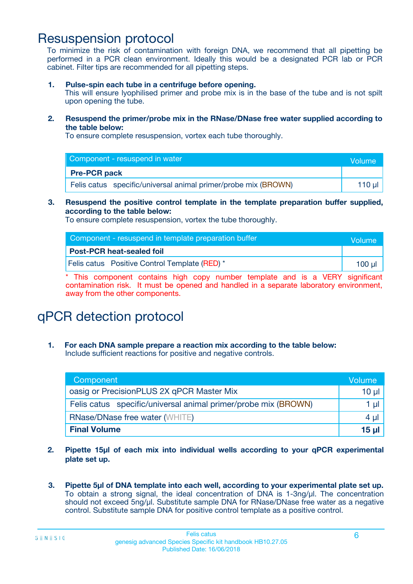### Resuspension protocol

To minimize the risk of contamination with foreign DNA, we recommend that all pipetting be performed in a PCR clean environment. Ideally this would be a designated PCR lab or PCR cabinet. Filter tips are recommended for all pipetting steps.

**1. Pulse-spin each tube in a centrifuge before opening.**

This will ensure lyophilised primer and probe mix is in the base of the tube and is not spilt upon opening the tube.

**2. Resuspend the primer/probe mix in the RNase/DNase free water supplied according to the table below:**

To ensure complete resuspension, vortex each tube thoroughly.

| Component - resuspend in water                                 | Volume   |
|----------------------------------------------------------------|----------|
| <b>Pre-PCR pack</b>                                            |          |
| Felis catus specific/universal animal primer/probe mix (BROWN) | 110 µl 1 |

#### **3. Resuspend the positive control template in the template preparation buffer supplied, according to the table below:**

To ensure complete resuspension, vortex the tube thoroughly.

| Component - resuspend in template preparation buffer |        |  |
|------------------------------------------------------|--------|--|
| <b>Post-PCR heat-sealed foil</b>                     |        |  |
| Felis catus  Positive Control Template (RED) *       | 100 ul |  |

\* This component contains high copy number template and is a VERY significant contamination risk. It must be opened and handled in a separate laboratory environment, away from the other components.

# qPCR detection protocol

**1. For each DNA sample prepare a reaction mix according to the table below:** Include sufficient reactions for positive and negative controls.

| Component <sup>1</sup>                                         |                 |  |
|----------------------------------------------------------------|-----------------|--|
| oasig or PrecisionPLUS 2X qPCR Master Mix                      | $10 \mu$        |  |
| Felis catus specific/universal animal primer/probe mix (BROWN) | 1 µl            |  |
| <b>RNase/DNase free water (WHITE)</b>                          |                 |  |
| <b>Final Volume</b>                                            | 15 <sub>µ</sub> |  |

- **2. Pipette 15µl of each mix into individual wells according to your qPCR experimental plate set up.**
- **3. Pipette 5µl of DNA template into each well, according to your experimental plate set up.** To obtain a strong signal, the ideal concentration of DNA is 1-3ng/µl. The concentration should not exceed 5ng/µl. Substitute sample DNA for RNase/DNase free water as a negative control. Substitute sample DNA for positive control template as a positive control.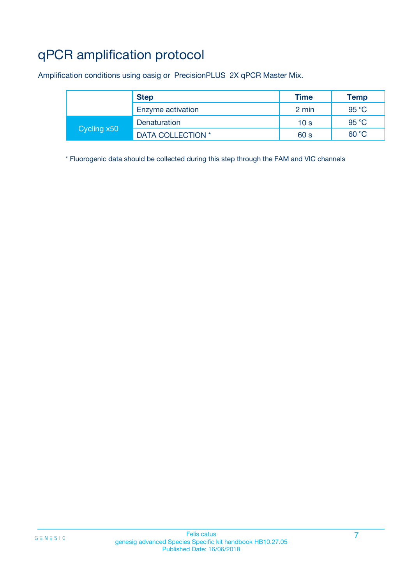# qPCR amplification protocol

Amplification conditions using oasig or PrecisionPLUS 2X qPCR Master Mix.

|             | <b>Step</b>       | <b>Time</b>     | <b>Temp</b> |
|-------------|-------------------|-----------------|-------------|
|             | Enzyme activation | 2 min           | 95 °C       |
| Cycling x50 | Denaturation      | 10 <sub>s</sub> | 95 °C       |
|             | DATA COLLECTION * | 60 s            | 60 °C       |

\* Fluorogenic data should be collected during this step through the FAM and VIC channels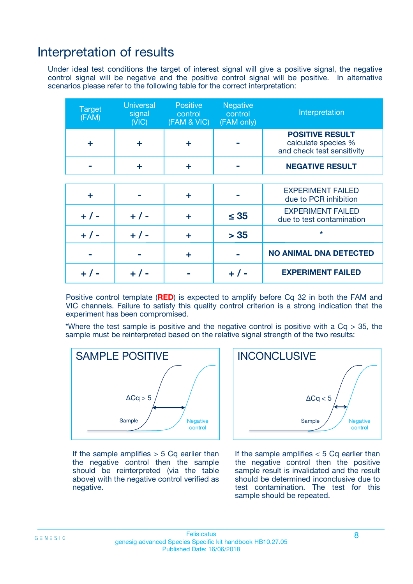### Interpretation of results

Under ideal test conditions the target of interest signal will give a positive signal, the negative control signal will be negative and the positive control signal will be positive. In alternative scenarios please refer to the following table for the correct interpretation:

| <b>Target</b><br>(FAM) | <b>Universal</b><br>signal<br>(NIC) | <b>Positive</b><br>control<br>(FAM & VIC) | <b>Negative</b><br>control<br>(FAM only) | Interpretation                                                              |
|------------------------|-------------------------------------|-------------------------------------------|------------------------------------------|-----------------------------------------------------------------------------|
| ÷                      | ÷                                   | ÷                                         |                                          | <b>POSITIVE RESULT</b><br>calculate species %<br>and check test sensitivity |
|                        |                                     | ÷                                         |                                          | <b>NEGATIVE RESULT</b>                                                      |
|                        |                                     |                                           |                                          |                                                                             |
| ÷                      |                                     | ÷                                         |                                          | <b>EXPERIMENT FAILED</b><br>due to PCR inhibition                           |
| $+$ / -                | $+ 1 -$                             | ٠                                         | $\leq$ 35                                | <b>EXPERIMENT FAILED</b><br>due to test contamination                       |
| $+ 1 -$                | $+ 1 -$                             | ÷                                         | > 35                                     | $\star$                                                                     |
|                        |                                     | ÷                                         |                                          | <b>NO ANIMAL DNA DETECTED</b>                                               |
|                        | $+/-$                               |                                           | + / -                                    | <b>EXPERIMENT FAILED</b>                                                    |

Positive control template (**RED**) is expected to amplify before Cq 32 in both the FAM and VIC channels. Failure to satisfy this quality control criterion is a strong indication that the experiment has been compromised.

\*Where the test sample is positive and the negative control is positive with a  $Cq > 35$ , the sample must be reinterpreted based on the relative signal strength of the two results:



If the sample amplifies  $> 5$  Cq earlier than the negative control then the sample should be reinterpreted (via the table above) with the negative control verified as negative.



If the sample amplifies  $< 5$  Cq earlier than the negative control then the positive sample result is invalidated and the result should be determined inconclusive due to test contamination. The test for this sample should be repeated.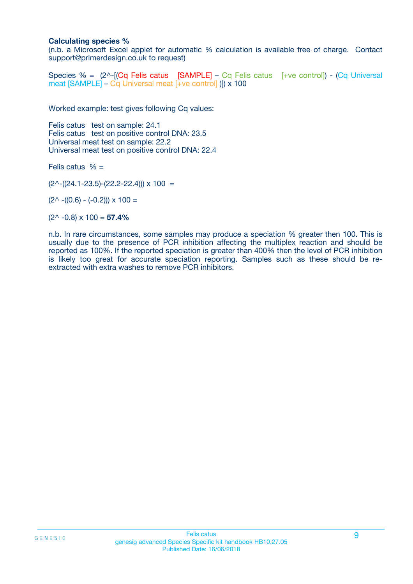#### **Calculating species %**

(n.b. a Microsoft Excel applet for automatic % calculation is available free of charge. Contact support@primerdesign.co.uk to request)

Species % = (2^-[(Cq Felis catus [SAMPLE] – Cq Felis catus [+ve control]) - (Cq Universal meat [SAMPLE] – Cq Universal meat [+ve control] )]) x 100

Worked example: test gives following Cq values:

Felis catus test on sample: 24.1 Felis catus test on positive control DNA: 23.5 Universal meat test on sample: 22.2 Universal meat test on positive control DNA: 22.4

Felis catus  $% =$ 

 $(2^{\wedge}-(24.1-23.5)-(22.2-22.4))) \times 100 =$ 

 $(2^{\wedge}$  -((0.6) - (-0.2)))  $\times$  100 =

 $(2^{\wedge}$  -0.8)  $\times$  100 = **57.4%** 

n.b. In rare circumstances, some samples may produce a speciation % greater then 100. This is usually due to the presence of PCR inhibition affecting the multiplex reaction and should be reported as 100%. If the reported speciation is greater than 400% then the level of PCR inhibition is likely too great for accurate speciation reporting. Samples such as these should be reextracted with extra washes to remove PCR inhibitors.